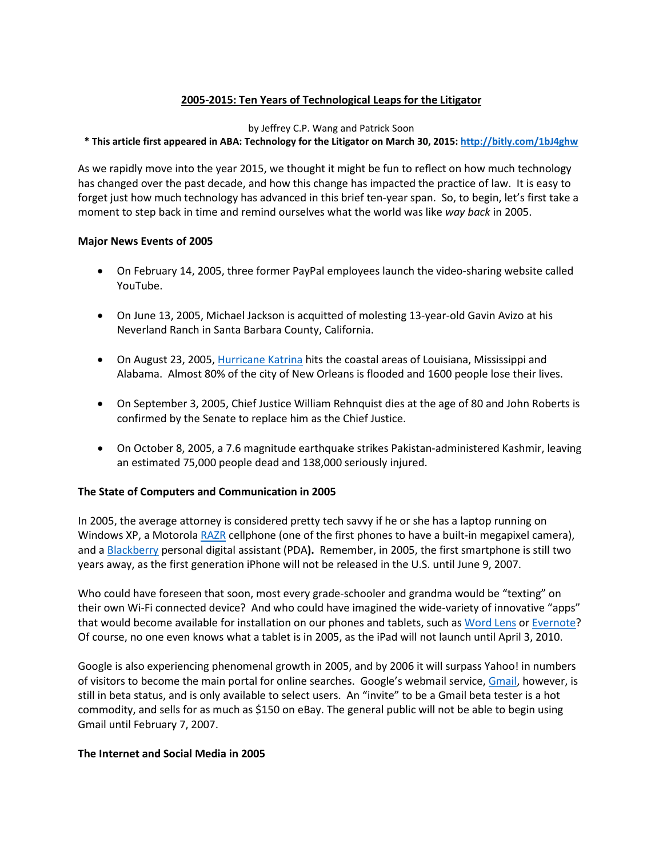# **2005-2015: Ten Years of Technological Leaps for the Litigator**

#### by Jeffrey C.P. Wang and Patrick Soon

## **\* This article first appeared in ABA: Technology for the Litigator on March 30, 2015: <http://bitly.com/1bJ4ghw>**

As we rapidly move into the year 2015, we thought it might be fun to reflect on how much technology has changed over the past decade, and how this change has impacted the practice of law. It is easy to forget just how much technology has advanced in this brief ten-year span. So, to begin, let's first take a moment to step back in time and remind ourselves what the world was like *way back* in 2005.

## **Major News Events of 2005**

- On February 14, 2005, three former PayPal employees launch the video-sharing website called YouTube.
- On June 13, 2005, Michael Jackson is acquitted of molesting 13-year-old Gavin Avizo at his Neverland Ranch in Santa Barbara County, California.
- On August 23, 2005, [Hurricane Katrina](http://en.wikipedia.org/wiki/Hurricane_Katrina) hits the coastal areas of Louisiana, Mississippi and Alabama. Almost 80% of the city of New Orleans is flooded and 1600 people lose their lives.
- On September 3, 2005, Chief Justice William Rehnquist dies at the age of 80 and John Roberts is confirmed by the Senate to replace him as the Chief Justice.
- On October 8, 2005, a 7.6 magnitude earthquake strikes Pakistan-administered Kashmir, leaving an estimated 75,000 people dead and 138,000 seriously injured.

## **The State of Computers and Communication in 2005**

In 2005, the average attorney is considered pretty tech savvy if he or she has a laptop running on Windows XP, a Motorol[a RAZR](http://en.wikipedia.org/wiki/Motorola_Razr%23mediaviewer/File:Razor2000ppx.jpg) cellphone (one of the first phones to have a built-in megapixel camera), and a [Blackberry](http://archive.fortune.com/magazines/fortune/fortune_archive/2004/11/15/8191073/index.htm) personal digital assistant (PDA**).** Remember, in 2005, the first smartphone is still two years away, as the first generation iPhone will not be released in the U.S. until June 9, 2007.

Who could have foreseen that soon, most every grade-schooler and grandma would be "texting" on their own Wi-Fi connected device? And who could have imagined the wide-variety of innovative "apps" that would become available for installation on our phones and tablets, such as [Word Lens](http://en.wikipedia.org/wiki/Word_Lens) or [Evernote?](http://en.wikipedia.org/wiki/Evernote) Of course, no one even knows what a tablet is in 2005, as the iPad will not launch until April 3, 2010.

Google is also experiencing phenomenal growth in 2005, and by 2006 it will surpass Yahoo! in numbers of visitors to become the main portal for online searches. Google's webmail service, [Gmail,](http://en.wikipedia.org/wiki/History_of_Gmail) however, is still in beta status, and is only available to select users. An "invite" to be a Gmail beta tester is a hot commodity, and sells for as much as \$150 on eBay. The general public will not be able to begin using Gmail until February 7, 2007.

#### **The Internet and Social Media in 2005**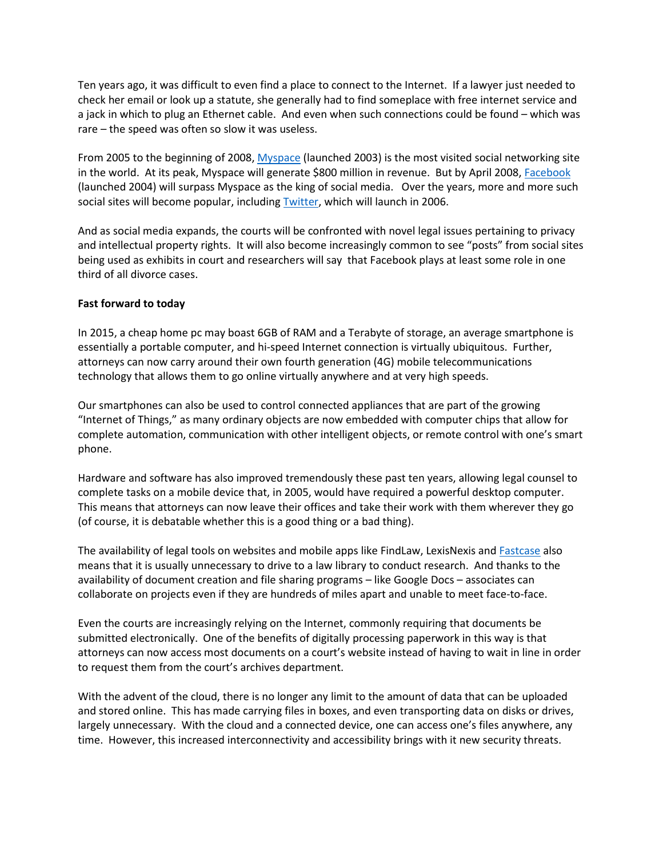Ten years ago, it was difficult to even find a place to connect to the Internet. If a lawyer just needed to check her email or look up a statute, she generally had to find someplace with free internet service and a jack in which to plug an Ethernet cable. And even when such connections could be found – which was rare – the speed was often so slow it was useless.

From 2005 to the beginning of 2008, [Myspace](http://www.huffingtonpost.com/2011/06/29/myspace-history-timeline_n_887059.html) (launched 2003) is the most visited social networking site in the world. At its peak, Myspace will generate \$800 million in revenue. But by April 2008, [Facebook](http://en.wikipedia.org/wiki/Facebook) (launched 2004) will surpass Myspace as the king of social media. Over the years, more and more such social sites will become popular, including [Twitter,](http://en.wikipedia.org/wiki/Twitter) which will launch in 2006.

And as social media expands, the courts will be confronted with novel legal issues pertaining to privacy and intellectual property rights. It will also become increasingly common to see "posts" from social sites being used as exhibits in court and researchers will say that Facebook plays at least some role in one third of all divorce cases.

#### **Fast forward to today**

In 2015, a cheap home pc may boast 6GB of RAM and a Terabyte of storage, an average smartphone is essentially a portable computer, and hi-speed Internet connection is virtually ubiquitous. Further, attorneys can now carry around their own fourth generation (4G) mobile telecommunications technology that allows them to go online virtually anywhere and at very high speeds.

Our smartphones can also be used to control connected appliances that are part of the growing "Internet of Things," as many ordinary objects are now embedded with computer chips that allow for complete automation, communication with other intelligent objects, or remote control with one's smart phone.

Hardware and software has also improved tremendously these past ten years, allowing legal counsel to complete tasks on a mobile device that, in 2005, would have required a powerful desktop computer. This means that attorneys can now leave their offices and take their work with them wherever they go (of course, it is debatable whether this is a good thing or a bad thing).

The availability of legal tools on websites and mobile apps like FindLaw, LexisNexis and [Fastcase](http://www.fastcase.com/whatisfastcase/) also means that it is usually unnecessary to drive to a law library to conduct research. And thanks to the availability of document creation and file sharing programs – like Google Docs – associates can collaborate on projects even if they are hundreds of miles apart and unable to meet face-to-face.

Even the courts are increasingly relying on the Internet, commonly requiring that documents be submitted electronically. One of the benefits of digitally processing paperwork in this way is that attorneys can now access most documents on a court's website instead of having to wait in line in order to request them from the court's archives department.

With the advent of the cloud, there is no longer any limit to the amount of data that can be uploaded and stored online. This has made carrying files in boxes, and even transporting data on disks or drives, largely unnecessary. With the cloud and a connected device, one can access one's files anywhere, any time. However, this increased interconnectivity and accessibility brings with it new security threats.